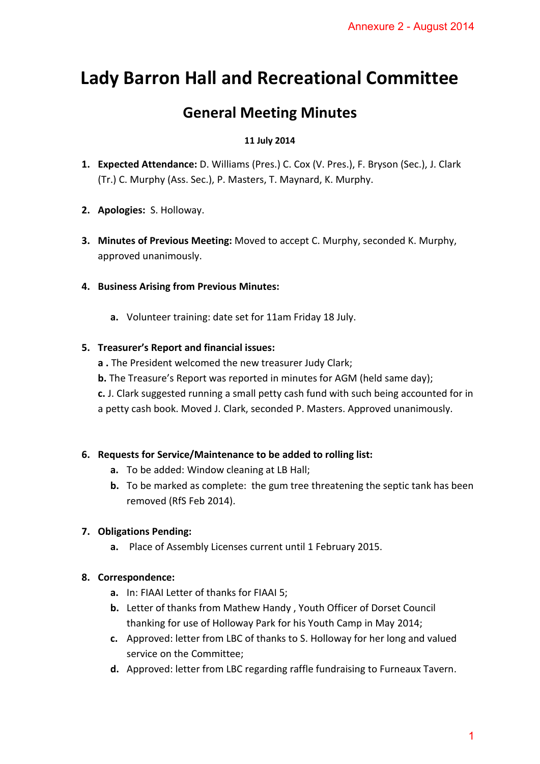# **Lady Barron Hall and Recreational Committee**

## **General Meeting Minutes**

#### **11 July 2014**

- **1. Expected Attendance:** D. Williams (Pres.) C. Cox (V. Pres.), F. Bryson (Sec.), J. Clark (Tr.) C. Murphy (Ass. Sec.), P. Masters, T. Maynard, K. Murphy.
- **2. Apologies:** S. Holloway.
- **3. Minutes of Previous Meeting:** Moved to accept C. Murphy, seconded K. Murphy, approved unanimously.
- **4. Business Arising from Previous Minutes:** 
	- **a.** Volunteer training: date set for 11am Friday 18 July.

#### **5. Treasurer's Report and financial issues:**

- **a .** The President welcomed the new treasurer Judy Clark;
- **b.** The Treasure's Report was reported in minutes for AGM (held same day);
- **c.** J. Clark suggested running a small petty cash fund with such being accounted for in a petty cash book. Moved J. Clark, seconded P. Masters. Approved unanimously. Annexure 2 - August 20141

#### **6. Requests for Service/Maintenance to be added to rolling list:**

- **a.** To be added: Window cleaning at LB Hall;
- **b.** To be marked as complete: the gum tree threatening the septic tank has been removed (RfS Feb 2014).

### **7. Obligations Pending:**

**a.** Place of Assembly Licenses current until 1 February 2015.

#### **8. Correspondence:**

- **a.** In: FIAAI Letter of thanks for FIAAI 5;
- **b.** Letter of thanks from Mathew Handy , Youth Officer of Dorset Council thanking for use of Holloway Park for his Youth Camp in May 2014;
- **c.** Approved: letter from LBC of thanks to S. Holloway for her long and valued service on the Committee;
- **d.** Approved: letter from LBC regarding raffle fundraising to Furneaux Tavern.